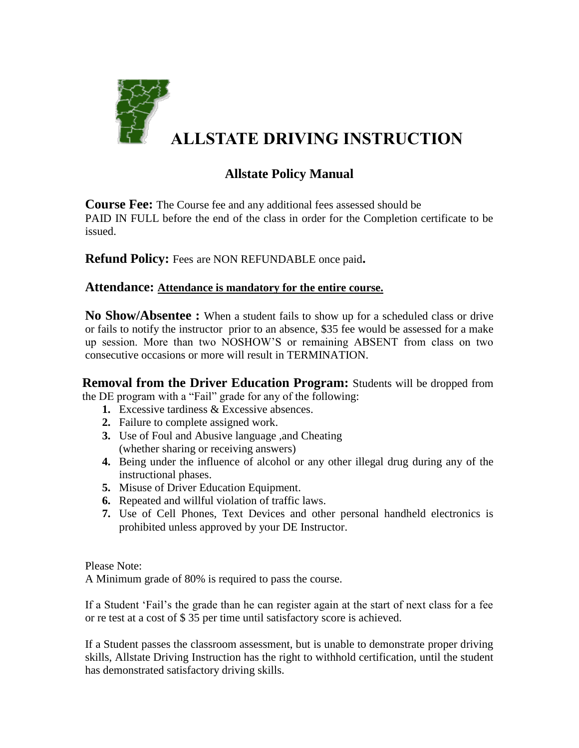

## **ALLSTATE DRIVING INSTRUCTION**

## **Allstate Policy Manual**

**Course Fee:** The Course fee and any additional fees assessed should be PAID IN FULL before the end of the class in order for the Completion certificate to be issued.

**Refund Policy:** Fees are NON REFUNDABLE once paid**.**

## **Attendance: Attendance is mandatory for the entire course.**

**No Show/Absentee :** When a student fails to show up for a scheduled class or drive or fails to notify the instructor prior to an absence, \$35 fee would be assessed for a make up session. More than two NOSHOW'S or remaining ABSENT from class on two consecutive occasions or more will result in TERMINATION.

**Removal from the Driver Education Program:** Students will be dropped from the DE program with a "Fail" grade for any of the following:

- **1.** Excessive tardiness & Excessive absences.
- **2.** Failure to complete assigned work.
- **3.** Use of Foul and Abusive language ,and Cheating (whether sharing or receiving answers)
- **4.** Being under the influence of alcohol or any other illegal drug during any of the instructional phases.
- **5.** Misuse of Driver Education Equipment.
- **6.** Repeated and willful violation of traffic laws.
- **7.** Use of Cell Phones, Text Devices and other personal handheld electronics is prohibited unless approved by your DE Instructor.

Please Note:

A Minimum grade of 80% is required to pass the course.

If a Student 'Fail's the grade than he can register again at the start of next class for a fee or re test at a cost of \$ 35 per time until satisfactory score is achieved.

If a Student passes the classroom assessment, but is unable to demonstrate proper driving skills, Allstate Driving Instruction has the right to withhold certification, until the student has demonstrated satisfactory driving skills.